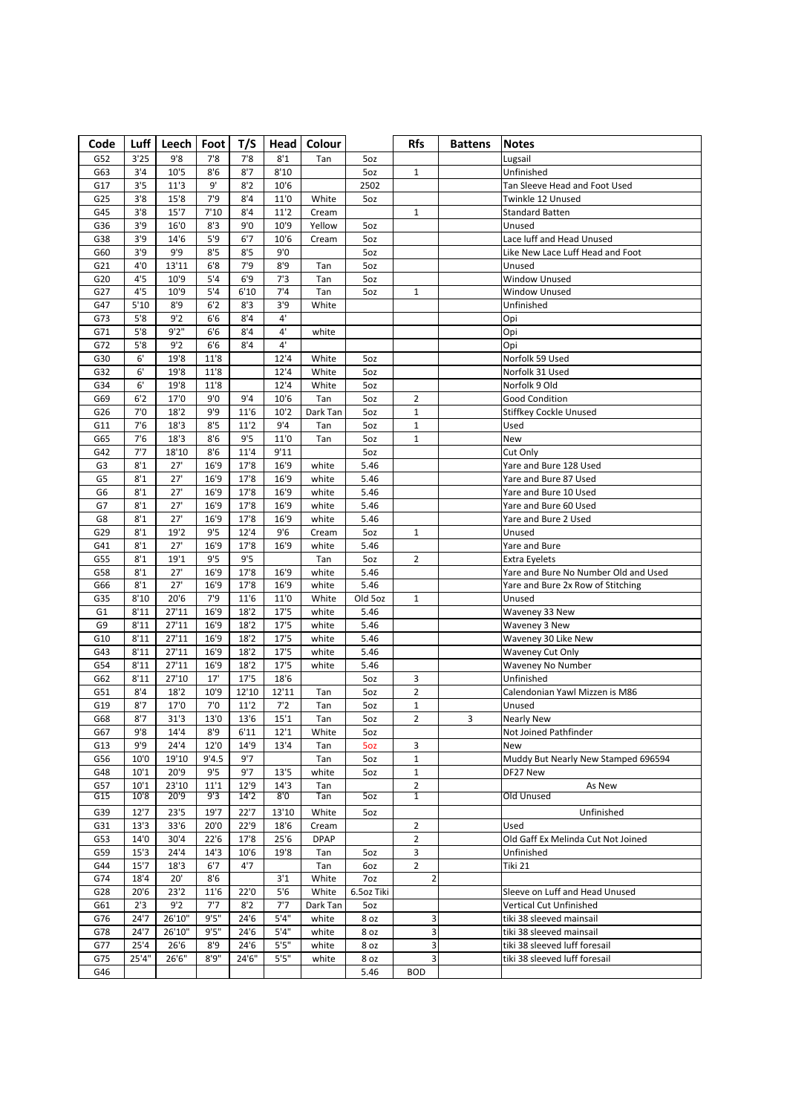| Code           |              | Luff   Leech  | Foot        | T/S          |                        | Head   Colour |            | <b>Rfs</b>                       | <b>Battens</b> | <b>Notes</b>                         |
|----------------|--------------|---------------|-------------|--------------|------------------------|---------------|------------|----------------------------------|----------------|--------------------------------------|
| G52            | 3'25         | 9'8           | 7'8         | 7'8          | 8'1                    | Tan           | 5oz        |                                  |                | Lugsail                              |
| G63            | 3'4          | 10'5          | 8'6         | 8'7          | 8'10                   |               | 5oz        | $\mathbf{1}$                     |                | Unfinished                           |
| G17            | 3'5          | 11'3          | 9'          | 8'2          | 10'6                   |               | 2502       |                                  |                | Tan Sleeve Head and Foot Used        |
| G25            | 3'8          | 15'8          | 7'9         | 8'4          | 11'0                   | White         | 5oz        |                                  |                | Twinkle 12 Unused                    |
| G45            | 3'8          | 15'7          | 7'10        | 8'4          | 11'2                   | Cream         |            | $\mathbf 1$                      |                | <b>Standard Batten</b>               |
| G36            | 3'9          | 16'0          | 8'3         | 9'0          | 10'9                   | Yellow        | 5oz        |                                  |                | Unused                               |
| G38            | 3'9          | 14'6          | 5'9         | 6'7          | 10'6                   | Cream         | 5oz        |                                  |                | Lace luff and Head Unused            |
| G60            | 3'9          | 9'9           | 8'5         | 8'5          | 9'0                    |               | 5oz        |                                  |                | Like New Lace Luff Head and Foot     |
| G21            | 4'0          | 13'11         | 6'8         | 7'9          | 8'9                    | Tan           | 5oz        |                                  |                | Unused                               |
| G20            | 4'5          | 10'9          | 5'4         | 6'9          | 7'3                    | Tan           | 5oz        |                                  |                | Window Unused                        |
| G27            | 4'5          | 10'9          | 5'4         | 6'10         | 7'4                    | Tan           | 5oz        | $\mathbf{1}$                     |                | Window Unused                        |
| G47            | 5'10         | 8'9           | 6'2         | 8'3          | 3'9                    | White         |            |                                  |                | Unfinished                           |
| G73            | 5'8          | 9'2           | 6'6         | 8'4          | $4^{\prime}$           |               |            |                                  |                |                                      |
|                | 5'8          | 9'2''         | 6'6         | 8'4          | $4^{\prime}$           | white         |            |                                  |                | Opi<br>Opi                           |
| G71            | $5'8$        | 9'2           | 6'6         | 8'4          | $4^{\circ}$            |               |            |                                  |                |                                      |
| G72            |              |               |             |              |                        |               |            |                                  |                | Opi                                  |
| G30            | 6'           | 19'8          | 11'8        |              | 12'4                   | White         | 5oz        |                                  |                | Norfolk 59 Used                      |
| G32            | 6'           | 19'8          | 11'8        |              | 12'4                   | White         | 5oz        |                                  |                | Norfolk 31 Used                      |
| G34            | 6'           | 19'8          | 11'8        |              | 12'4                   | White         | 5oz        |                                  |                | Norfolk 9 Old                        |
| G69            | 6'2          | 17'0          | 9'0         | 9'4          | 10'6                   | Tan           | 5oz        | 2                                |                | <b>Good Condition</b>                |
| G26            | 7'0          | 18'2          | 9'9         | 11'6         | $10^{\prime}$          | Dark Tan      | 5oz        | $\mathbf 1$                      |                | <b>Stiffkey Cockle Unused</b>        |
| G11            | 7'6          | 18'3          | 8'5         | 11'2         | 9'4                    | Tan           | 5oz        | $1\,$                            |                | Used                                 |
| G65            | 7'6          | 18'3          | 8'6         | 9'5          | 11'0                   | Tan           | 5oz        | $\mathbf{1}$                     |                | New                                  |
| G42            | 7'7          | 18'10         | 8'6         | 11'4         | 9'11                   |               | 5oz        |                                  |                | Cut Only                             |
| G <sub>3</sub> | 8'1          | 27'           | 16'9        | 17'8         | 16'9                   | white         | 5.46       |                                  |                | Yare and Bure 128 Used               |
| G5             | 8'1          | 27'           | 16'9        | 17'8         | 16'9                   | white         | 5.46       |                                  |                | Yare and Bure 87 Used                |
| G <sub>6</sub> | 8'1          | 27'           | 16'9        | 17'8         | 16'9                   | white         | 5.46       |                                  |                | Yare and Bure 10 Used                |
| G7             | 8'1          | 27'           | 16'9        | 17'8         | 16'9                   | white         | 5.46       |                                  |                | Yare and Bure 60 Used                |
| G8             | 8'1          | 27'           | 16'9        | 17'8         | 16'9                   | white         | 5.46       |                                  |                | Yare and Bure 2 Used                 |
| G29            | 8'1          | 19'2          | 9'5         | 12'4         | 9'6                    | Cream         | 5oz        | $\mathbf{1}$                     |                | Unused                               |
| G41            | 8'1          | 27'           | 16'9        | 17'8         | 16'9                   | white         | 5.46       |                                  |                | Yare and Bure                        |
| G55            | 8'1          | 19'1          | 9'5         | 9'5          |                        | Tan           | 5oz        | $\overline{2}$                   |                | Extra Eyelets                        |
| G58            | 8'1          | 27'           | 16'9        | 17'8         | 16'9                   | white         | 5.46       |                                  |                | Yare and Bure No Number Old and Used |
| G66            | 8'1          | 27'           | 16'9        | 17'8         | 16'9                   | white         | 5.46       |                                  |                | Yare and Bure 2x Row of Stitching    |
| G35            | 8'10         | 20'6          | 7'9         | 11'6         | 11'0                   | White         | Old 5oz    | $\mathbf{1}$                     |                | Unused                               |
| G1             | 8'11         | 27'11         | 16'9        | 18'2         | 17'5                   | white         | 5.46       |                                  |                | Waveney 33 New                       |
| G9             | 8'11         | 27'11         | 16'9        | 18'2         | 17'5                   | white         | 5.46       |                                  |                | Waveney 3 New                        |
| G10            | 8'11         | 27'11         | 16'9        | 18'2         | 17'5                   | white         | 5.46       |                                  |                | Waveney 30 Like New                  |
| G43            | $8'11$       | 27'11         | 16'9        | 18'2         | 17'5                   | white         | 5.46       |                                  |                | <b>Waveney Cut Only</b>              |
| G54            | 8'11         | 27'11         | 16'9        | 18'2         | 17'5                   | white         | 5.46       |                                  |                | Waveney No Number                    |
| G62            | 8'11         | 27'10         | 17'         | 17'5         | 18'6                   |               | 5oz        | 3                                |                | Unfinished                           |
| G51            | 8'4          | 18'2          | 10'9        | 12'10        | 12'11                  | Tan           | 5oz        | $\overline{2}$                   |                | Calendonian Yawl Mizzen is M86       |
| G19            | 8'7          | 17'0          | 7'0         | 11'2         | 7'2                    | Tan           | 5oz        | $\mathbf 1$                      |                | Unused                               |
| G68            | 8'7          | 31'3          | 13'0        | 13'6         | 15'1                   | Tan           | 5oz        | $\overline{2}$                   | 3              | Nearly New                           |
|                |              |               |             |              |                        |               |            |                                  |                |                                      |
| G67            | 9'8<br>9'9   | 14'4          | 8'9         | 6'11         | 12'1                   | White         | 5oz        |                                  |                | Not Joined Pathfinder                |
| G13            |              | 24'4          | 12'0        | 14'9         | 13'4                   | Tan           | 5oz        | 3                                |                | New                                  |
| G56            | 10'0         | 19'10         | 9'4.5       | 9'7          |                        | Tan           | 5oz        | $\mathbf 1$                      |                | Muddy But Nearly New Stamped 696594  |
| G48            | 10'1         | 20'9          | 9'5         | 9'7          | 13'5                   | white         | 5oz        | $\mathbf{1}$                     |                | DF27 New<br>As New                   |
| G57<br>G15     | 10'1<br>10'8 | 23'10<br>20'9 | 11'1<br>9'3 | 12'9<br>14'2 | 14'3<br>8 <sup>0</sup> | Tan<br>Tan    | 50z        | $\overline{2}$<br>$\overline{1}$ |                | Old Unused                           |
|                |              |               |             |              |                        |               |            |                                  |                |                                      |
| G39            | 12'7         | 23'5          | 19'7        | 22'7         | 13'10                  | White         | 5oz        |                                  |                | Unfinished                           |
| G31            | 13'3         | 33'6          | 20'0        | 22'9         | 18'6                   | Cream         |            | $\overline{2}$                   |                | Used                                 |
| G53            | 14'0         | 30'4          | 22'6        | 17'8         | 25'6                   | <b>DPAP</b>   |            | $\overline{2}$                   |                | Old Gaff Ex Melinda Cut Not Joined   |
| G59            | 15'3         | 24'4          | 14'3        | 10'6         | 19'8                   | Tan           | 5oz        | 3                                |                | Unfinished                           |
| G44            | 15'7         | 18'3          | 6'7         | 4'7          |                        | Tan           | 6oz        | $\overline{2}$                   |                | Tiki 21                              |
| G74            | 18'4         | 20'           | 8'6         |              | 3'1                    | White         | 7oz        | $\overline{2}$                   |                |                                      |
| G28            | 20'6         | 23'2          | 11'6        | 22'0         | 5'6                    | White         | 6.5oz Tiki |                                  |                | Sleeve on Luff and Head Unused       |
| G61            | 2'3          | 9'2           | 7'7         | 8'2          | 7'7                    | Dark Tan      | 5oz        |                                  |                | Vertical Cut Unfinished              |
| G76            | 24'7         | 26'10"        | 9'5''       | 24'6         | 5'4''                  | white         | 8 oz       | 3                                |                | tiki 38 sleeved mainsail             |
| G78            | 24'7         | 26'10"        | 9'5"        | 24'6         | 5'4''                  | white         | 8 oz       | 3                                |                | tiki 38 sleeved mainsail             |
| G77            | 25'4         | 26'6          | 8'9         | 24'6         | 5'5''                  | white         | 8 oz       | 3                                |                | tiki 38 sleeved luff foresail        |
| G75            | 25'4"        | 26'6"         | 8'9''       | 24'6"        | $5's$                  | white         | 8 oz       | 3                                |                | tiki 38 sleeved luff foresail        |
| G46            |              |               |             |              |                        |               | 5.46       | <b>BOD</b>                       |                |                                      |